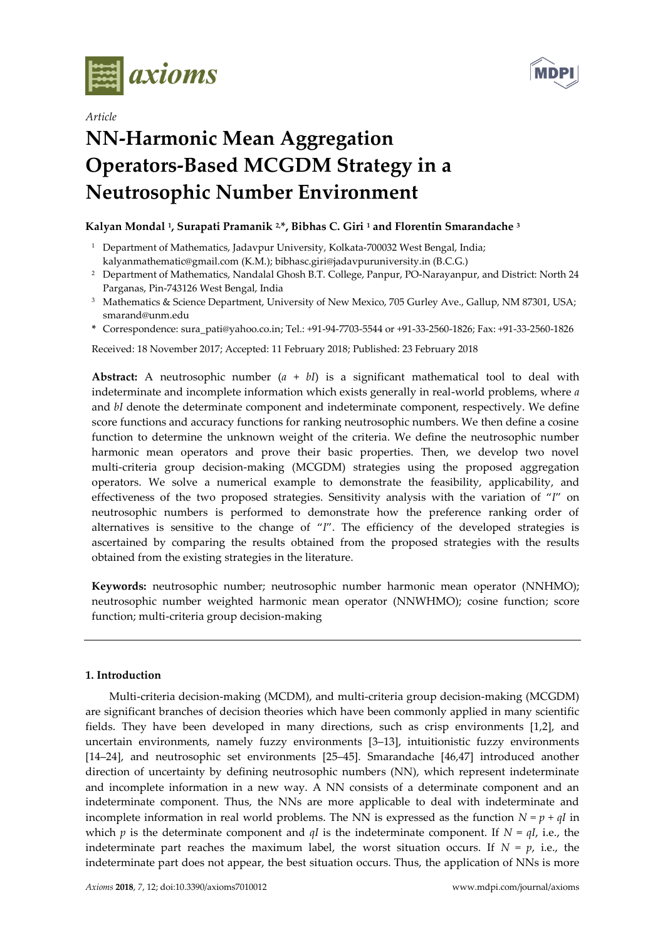



# *Article* **NN-Harmonic Mean Aggregation Operators-Based MCGDM Strategy in a Neutrosophic Number Environment**

## **Kalyan Mondal <sup>1</sup> , Surapati Pramanik 2,\*, Bibhas C. Giri <sup>1</sup> and Florentin Smarandache <sup>3</sup>**

- <sup>1</sup> Department of Mathematics, Jadavpur University, Kolkata-700032 West Bengal, India; [kalyanmathematic@gmail.com](mailto:kalyanmathematic@gmail.com) (K.M.)[; bibhasc.giri@jadavpuruniversity.in](mailto:bibhasc.giri@jadavpuruniversity.in) (B.C.G.)
- <sup>2</sup> Department of Mathematics, Nandalal Ghosh B.T. College, Panpur, PO-Narayanpur, and District: North 24 Parganas, Pin-743126 West Bengal, India
- <sup>3</sup> Mathematics & Science Department, University of New Mexico, 705 Gurley Ave., Gallup, NM 87301, USA; [smarand@unm.edu](mailto:smarand@unm.edu)
- **\*** Correspondence: [sura\\_pati@yahoo.co.in;](mailto:sura_pati@yahoo.co.in) Tel.: +91-94-7703-5544 or +91-33-2560-1826; Fax: +91-33-2560-1826

Received: 18 November 2017; Accepted: 11 February 2018; Published: 23 February 2018

**Abstract:** A neutrosophic number  $(a + bI)$  is a significant mathematical tool to deal with indeterminate and incomplete information which exists generally in real-world problems, where *a* and *bI* denote the determinate component and indeterminate component, respectively. We define score functions and accuracy functions for ranking neutrosophic numbers. We then define a cosine function to determine the unknown weight of the criteria. We define the neutrosophic number harmonic mean operators and prove their basic properties. Then, we develop two novel multi-criteria group decision-making (MCGDM) strategies using the proposed aggregation operators. We solve a numerical example to demonstrate the feasibility, applicability, and effectiveness of the two proposed strategies. Sensitivity analysis with the variation of "*I*" on neutrosophic numbers is performed to demonstrate how the preference ranking order of alternatives is sensitive to the change of "*I*". The efficiency of the developed strategies is ascertained by comparing the results obtained from the proposed strategies with the results obtained from the existing strategies in the literature.

**Keywords:** neutrosophic number; neutrosophic number harmonic mean operator (NNHMO); neutrosophic number weighted harmonic mean operator (NNWHMO); cosine function; score function; multi-criteria group decision-making

## **1. Introduction**

Multi-criteria decision-making (MCDM), and multi-criteria group decision-making (MCGDM) are significant branches of decision theories which have been commonly applied in many scientific fields. They have been developed in many directions, such as crisp environments [1,2], and uncertain environments, namely fuzzy environments [3–13], intuitionistic fuzzy environments [14–24], and neutrosophic set environments [25–45]. Smarandache [46,47] introduced another direction of uncertainty by defining neutrosophic numbers (NN), which represent indeterminate and incomplete information in a new way. A NN consists of a determinate component and an indeterminate component. Thus, the NNs are more applicable to deal with indeterminate and incomplete information in real world problems. The NN is expressed as the function  $N = p + qI$  in which *p* is the determinate component and *qI* is the indeterminate component. If  $N = qI$ , i.e., the indeterminate part reaches the maximum label, the worst situation occurs. If  $N = p$ , i.e., the indeterminate part does not appear, the best situation occurs. Thus, the application of NNs is more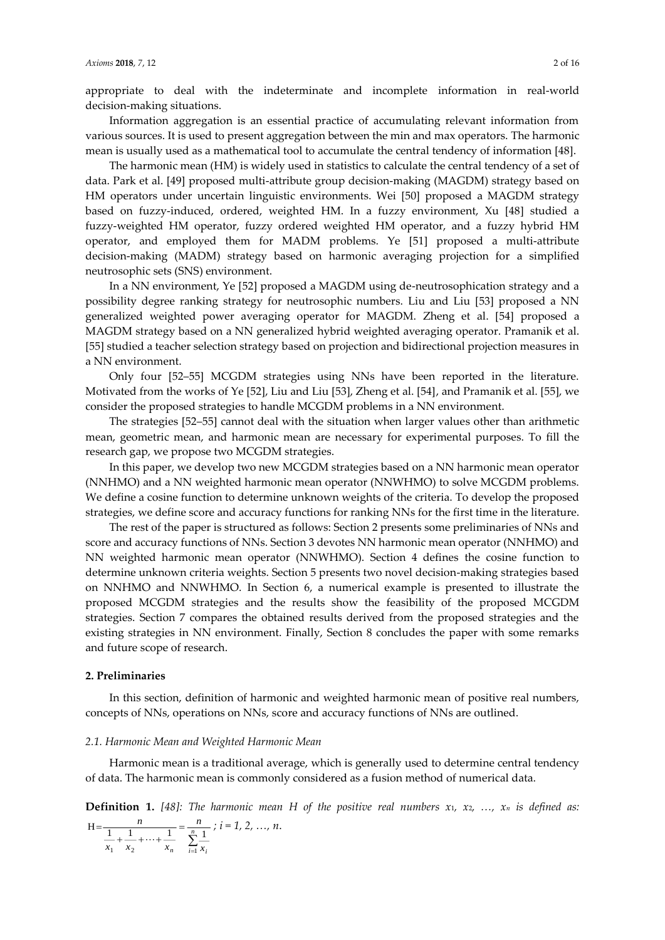appropriate to deal with the indeterminate and incomplete information in real-world decision-making situations.

Information aggregation is an essential practice of accumulating relevant information from various sources. It is used to present aggregation between the min and max operators. The harmonic mean is usually used as a mathematical tool to accumulate the central tendency of information [48].

The harmonic mean (HM) is widely used in statistics to calculate the central tendency of a set of data. Park et al. [49] proposed multi-attribute group decision-making (MAGDM) strategy based on HM operators under uncertain linguistic environments. Wei [50] proposed a MAGDM strategy based on fuzzy-induced, ordered, weighted HM. In a fuzzy environment, Xu [48] studied a fuzzy-weighted HM operator, fuzzy ordered weighted HM operator, and a fuzzy hybrid HM operator, and employed them for MADM problems. Ye [51] proposed a multi-attribute decision-making (MADM) strategy based on harmonic averaging projection for a simplified neutrosophic sets (SNS) environment.

In a NN environment, Ye [52] proposed a MAGDM using de-neutrosophication strategy and a possibility degree ranking strategy for neutrosophic numbers. Liu and Liu [53] proposed a NN generalized weighted power averaging operator for MAGDM. Zheng et al. [54] proposed a MAGDM strategy based on a NN generalized hybrid weighted averaging operator. Pramanik et al. [55] studied a teacher selection strategy based on projection and bidirectional projection measures in a NN environment.

Only four [52–55] MCGDM strategies using NNs have been reported in the literature. Motivated from the works of Ye [52], Liu and Liu [53], Zheng et al. [54], and Pramanik et al. [55], we consider the proposed strategies to handle MCGDM problems in a NN environment.

The strategies [52–55] cannot deal with the situation when larger values other than arithmetic mean, geometric mean, and harmonic mean are necessary for experimental purposes. To fill the research gap, we propose two MCGDM strategies.

In this paper, we develop two new MCGDM strategies based on a NN harmonic mean operator (NNHMO) and a NN weighted harmonic mean operator (NNWHMO) to solve MCGDM problems. We define a cosine function to determine unknown weights of the criteria. To develop the proposed strategies, we define score and accuracy functions for ranking NNs for the first time in the literature.

The rest of the paper is structured as follows: Section 2 presents some preliminaries of NNs and score and accuracy functions of NNs. Section 3 devotes NN harmonic mean operator (NNHMO) and NN weighted harmonic mean operator (NNWHMO). Section 4 defines the cosine function to determine unknown criteria weights. Section 5 presents two novel decision-making strategies based on NNHMO and NNWHMO. In Section 6, a numerical example is presented to illustrate the proposed MCGDM strategies and the results show the feasibility of the proposed MCGDM strategies. Section 7 compares the obtained results derived from the proposed strategies and the existing strategies in NN environment. Finally, Section 8 concludes the paper with some remarks and future scope of research.

#### **2. Preliminaries**

In this section, definition of harmonic and weighted harmonic mean of positive real numbers, concepts of NNs, operations on NNs, score and accuracy functions of NNs are outlined.

#### *2.1. Harmonic Mean and Weighted Harmonic Mean*

Harmonic mean is a traditional average, which is generally used to determine central tendency of data. The harmonic mean is commonly considered as a fusion method of numerical data.

**Definition 1.** [48]: The harmonic mean H of the positive [real numbers](https://en.wikipedia.org/wiki/Real_number)  $x_1$ ,  $x_2$ ,  $\ldots$ ,  $x_n$  is defined as: *n n*

$$
H = \frac{n}{\frac{1}{x_1} + \frac{1}{x_2} + \dots + \frac{1}{x_n}} = \frac{n}{\sum_{i=1}^{n} \frac{1}{x_i}}; i = 1, 2, \dots, n.
$$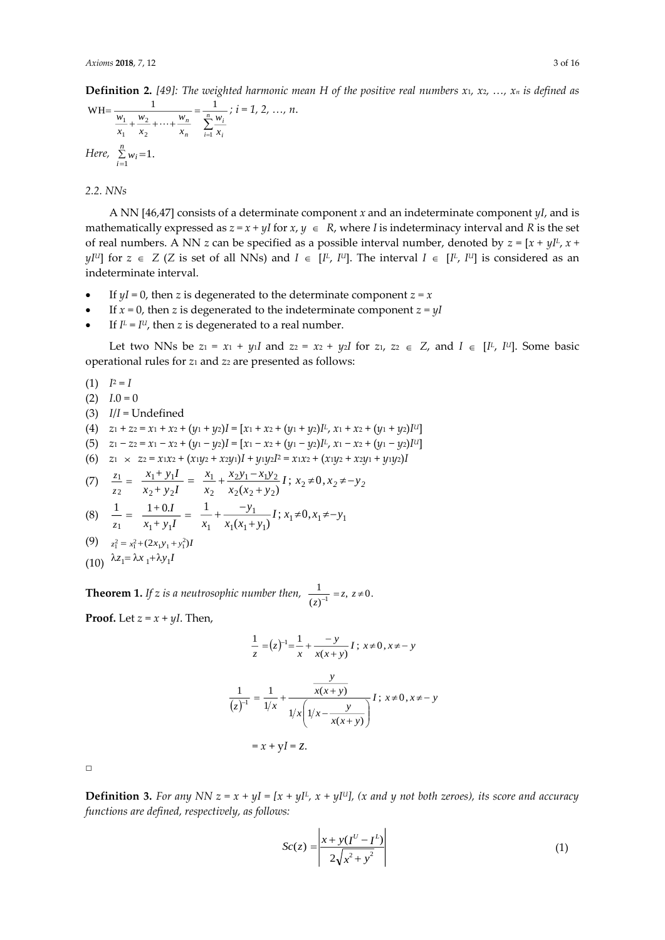**Definition 2.** [49]: The weighted harmonic mean H of the positive [real numbers](https://en.wikipedia.org/wiki/Real_number)  $x_1, x_2, ..., x_n$  is defined as

$$
WH = \frac{1}{\frac{w_1}{x_1} + \frac{w_2}{x_2} + \dots + \frac{w_n}{x_n}} = \frac{1}{\sum_{i=1}^{n} \frac{w_i}{x_i}}; i = 1, 2, \dots, n.
$$
  
Here,  $\sum_{i=1}^{n} w_i = 1$ .

*2.2. NNs*

A NN [46,47] consists of a determinate component *x* and an indeterminate component *yI*, and is mathematically expressed as  $z = x + yI$  for  $x, y \in R$ , where *I* is indeterminacy interval and *R* is the set of real numbers. A NN *z* can be specified as a possible interval number, denoted by *z* = [*x + yI<sup>L</sup>* , *x +*   $yI^{U}$  for  $z \in Z$  (*Z* is set of all NNs) and  $I \in [I^L, I^U]$ . The interval  $I \in [I^L, I^U]$  is considered as an indeterminate interval.

- If  $yI = 0$ , then *z* is degenerated to the determinate component  $z = x$
- If  $x = 0$ , then *z* is degenerated to the indeterminate component  $z = yI$
- If  $I^L = I^U$ , then *z* is degenerated to a real number.

Let two NNs be  $z_1 = x_1 + y_1I$  and  $z_2 = x_2 + y_2I$  for  $z_1, z_2 \in Z$ , and  $I \in [I^L, I^U]$ . Some basic operational rules for *z*<sup>1</sup> and *z*<sup>2</sup> are presented as follows:

 $(1)$   $I^2 = I$  $(2)$   $I.0 = 0$ (3) *I*/*I* = Undefined  $(4)$   $z_1 + z_2 = x_1 + x_2 + (y_1 + y_2)I = [x_1 + x_2 + (y_1 + y_2)I^L, x_1 + x_2 + (y_1 + y_2)I^U]$  $(5)$  *z*<sub>1</sub> − *z*<sub>2</sub> = *x*<sub>1</sub> − *x*<sub>2</sub> + (*y*<sub>1</sub> − *y*<sub>2</sub>)*I* = [*x*<sub>1</sub> − *x*<sub>2</sub> + (*y*<sub>1</sub> − *y*<sub>2</sub>)*I*<sup>*U*</sup>] *u*<sup>1</sup> (6)  $z_1 \times z_2 = x_1x_2 + (x_1y_2 + x_2y_1)I + y_1y_2I^2 = x_1x_2 + (x_1y_2 + x_2y_1 + y_1y_2)I$ 

(7) 
$$
\frac{z_1}{z_2} = \frac{x_1 + y_1 I}{x_2 + y_2 I} = \frac{x_1}{x_2} + \frac{x_2 y_1 - x_1 y_2}{x_2 (x_2 + y_2)} I; x_2 \neq 0, x_2 \neq -y_2
$$
  
\n(8) 
$$
\frac{1}{z_1} = \frac{1 + 0I}{x_1 + y_1 I} = \frac{1}{x_1} + \frac{-y_1}{x_1 (x_1 + y_1)} I; x_1 \neq 0, x_1 \neq -y_1
$$

(9) 
$$
z_1^2 = x_1^2 + (2x_1y_1 + y_1^2)I
$$

 $(10)$   $\lambda z_1 = \lambda x_1 + \lambda y_1 I$ 

**Theorem 1.** If z is a neutrosophic number then,  $\frac{1}{(z)^{-1}} = z$ ,  $z \neq 0$ . 1  $\overline{z}$ <sup> $\overline{z}$ </sup> $\overline{z}$ <sup> $\overline{z}$ </sup>

**Proof.** Let  $z = x + yI$ . Then,

$$
\frac{1}{z} = (z)^{-1} = \frac{1}{x} + \frac{-y}{x(x+y)} I; \ x \neq 0, x \neq -y
$$
\n
$$
\frac{1}{(z)^{-1}} = \frac{1}{1/x} + \frac{y}{1/x \left( 1/x - \frac{y}{x(x+y)} \right)} I; \ x \neq 0, x \neq -y
$$
\n
$$
= x + yI = z.
$$

 $\Box$ 

**Definition 3.** *For any NN*  $z = x + yI = [x + yI^L, x + yI^U]$ , (x and y not both zeroes), its score and accuracy *functions are defined, respectively, as follows:*

$$
Sc(z) = \left| \frac{x + y(I^{U} - I^{L})}{2\sqrt{x^{2} + y^{2}}} \right|
$$
 (1)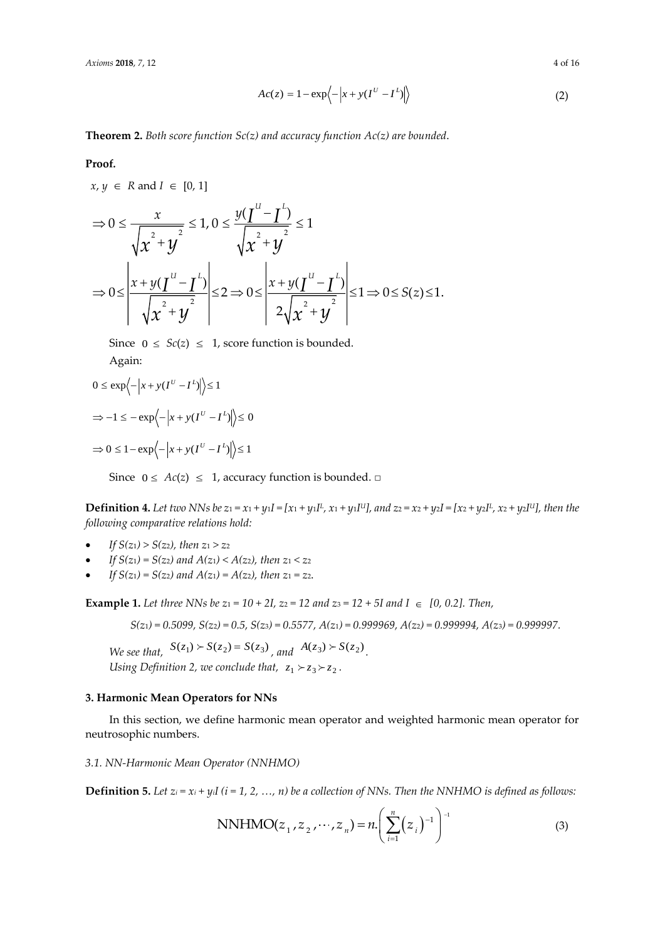*Axioms* **2018**, *7*, 12 4 of 16

$$
Ac(z) = 1 - \exp\left\langle -\left|x + y(I^{U} - I^{L})\right|\right\rangle
$$
\n(2)

**Theorem 2.** *Both score function Sc(z) and accuracy function Ac(z) are bounded*.

#### **Proof***.*

 $x, y \in R$  and  $I \in [0, 1]$ 

$$
\Rightarrow 0 \le \frac{x}{\sqrt{x^2 + y^2}} \le 1, 0 \le \frac{y(I^{u} - I^{v})}{\sqrt{x^2 + y^2}} \le 1
$$
  

$$
\Rightarrow 0 \le \left| \frac{x + y(I^{u} - I^{v})}{\sqrt{x^2 + y^2}} \right| \le 2 \Rightarrow 0 \le \left| \frac{x + y(I^{u} - I^{v})}{2\sqrt{x^2 + y^2}} \right| \le 1 \Rightarrow 0 \le S(z) \le 1.
$$

Since  $0 \leq Sc(z) \leq 1$ , score function is bounded. Again:

$$
0 \le \exp\left\langle -\left|x + y(I^U - I^L)\right|\right\rangle \le 1
$$
  
\n
$$
\Rightarrow -1 \le -\exp\left\langle -\left|x + y(I^U - I^L)\right|\right\rangle \le 0
$$
  
\n
$$
\Rightarrow 0 \le 1 - \exp\left\langle -\left|x + y(I^U - I^L)\right|\right\rangle \le 1
$$

Since  $0 \le Ac(z) \le 1$ , accuracy function is bounded.  $\square$ 

**Definition 4.** Let two NNs be  $z_1 = x_1 + y_1I = [x_1 + y_1I^L, x_1 + y_1I^U]$ , and  $z_2 = x_2 + y_2I = [x_2 + y_2I^L, x_2 + y_2I^U]$ , then the *following comparative relations hold:*

- *If*  $S(z_1) > S(z_2)$ , then  $z_1 > z_2$
- *If*  $S(z_1) = S(z_2)$  and  $A(z_1) < A(z_2)$ , then  $z_1 < z_2$
- *If*  $S(z_1) = S(z_2)$  and  $A(z_1) = A(z_2)$ , then  $z_1 = z_2$ .

**Example 1.** Let three NNs be  $z_1 = 10 + 2I$ ,  $z_2 = 12$  and  $z_3 = 12 + 5I$  and  $I \in [0, 0.2]$ . Then,

*S(z*1*) = 0.5099, S(z*2*) = 0.5, S(z*3*) = 0.5577, A(z*1*) = 0.999969, A(z*2*) = 0.999994, A(z*3*) = 0.999997.*

*We see that,*  $S(z_1) > S(z_2) = S(z_3)$ , and  $A(z_3) > S(z_2)$ . Using Definition 2, we conclude that,  $z_1 \succ z_3 \succ z_2$ .

#### **3. Harmonic Mean Operators for NNs**

In this section, we define harmonic mean operator and weighted harmonic mean operator for neutrosophic numbers.

*3.1. NN-Harmonic Mean Operator (NNHMO)*

**Definition 5.** Let  $z_i = x_i + y_iI$  ( $i = 1, 2, ..., n$ ) be a collection of NNs. Then the NNHMO is defined as follows:

NNHMO(
$$
z_1, z_2, \dots, z_n
$$
) =  $n \cdot \left( \sum_{i=1}^n (z_i)^{-1} \right)^{-1}$  (3)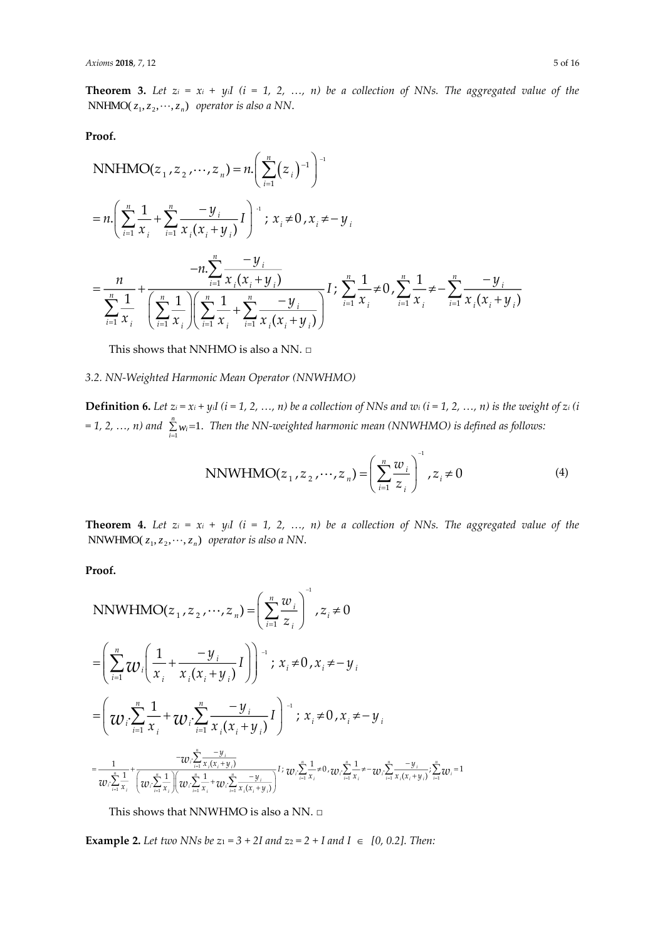**Theorem 3.** Let  $z_i = x_i + y_i$ *I*  $(i = 1, 2, ..., n)$  be a collection of NNs. The aggregated value of the  $NNHMO(z_1, z_2, \dots, z_n)$  operator is also a NN.

**Proof.**

NNHMO(
$$
z_1, z_2, ..., z_n
$$
) =  $n \cdot \left( \sum_{i=1}^n (z_i)^{-1} \right)^{-1}$   
\n=  $n \cdot \left( \sum_{i=1}^n \frac{1}{x_i} + \sum_{i=1}^n \frac{-y_i}{x_i (x_i + y_i)} I \right)^{-1}$ ;  $x_i \neq 0, x_i \neq -y_i$   
\n
$$
= \frac{n}{\sum_{i=1}^n \frac{1}{x_i}} + \frac{-y_i}{\left( \sum_{i=1}^n \frac{1}{x_i} \right) \left( \sum_{i=1}^n \frac{1}{x_i} + \sum_{i=1}^n \frac{-y_i}{x_i (x_i + y_i)} \right)} I; \sum_{i=1}^n \frac{1}{x_i} \neq 0, \sum_{i=1}^n \frac{1}{x_i} \neq -\sum_{i=1}^n \frac{-y_i}{x_i (x_i + y_i)}
$$

This shows that NNHMO is also a NN. □

*3.2. NN-Weighted Harmonic Mean Operator (NNWHMO)*

**Definition 6.** Let  $z_i = x_i + y_i$   $(i = 1, 2, ..., n)$  be a collection of NNs and  $w_i$   $(i = 1, 2, ..., n)$  is the weight of  $z_i$   $(i$  $= 1, 2, ..., n)$  and  $\sum_{i=1}^{n} w_i = 1$ .  $\sum\limits_{i=1}^Kw_i$ =1. Then the NN-weighted harmonic mean (NNWHMO) is defined as follows:

NNWHMO(
$$
z_1, z_2, ..., z_n
$$
) =  $\left(\sum_{i=1}^n \frac{w_i}{z_i}\right)^{-1}, z_i \neq 0$  (4)

**Theorem 4.** Let  $z_i = x_i + y_i$ *I*  $(i = 1, 2, ..., n)$  be a collection of NNs. The aggregated value of the  $NNWHMO(z_1, z_2, \dots, z_n)$  operator is also a NN.

**Proof.**

NNWHMO
$$
(z_1, z_2, ..., z_n)
$$
 =  $\left(\sum_{i=1}^n \frac{w_i}{z_i}\right)^{-1}$ ,  $z_i \neq 0$   
\n
$$
= \left(\sum_{i=1}^n w_i \left(\frac{1}{x_i} + \frac{-y_i}{x_i(x_i + y_i)}I\right)\right)^{-1}
$$
;  $x_i \neq 0$ ,  $x_i \neq -y_i$   
\n
$$
= \left(\frac{w_i \sum_{i=1}^n \frac{1}{x_i} + w_i \sum_{i=1}^n \frac{-y_i}{x_i(x_i + y_i)}I\right)^{-1}
$$
;  $x_i \neq 0$ ,  $x_i \neq -y_i$   
\n
$$
= \frac{1}{w_i \sum_{i=1}^n \frac{1}{x_i} + \left(\frac{-y_i \sum_{i=1}^n \frac{-y_i}{x_i(x_i + y_i)}\right)}{w_i \sum_{i=1}^n \frac{-y_i}{x_i(x_i + y_i)}} I
$$
;  $w_i \sum_{i=1}^n \frac{1}{x_i} \neq 0$ ,  $w_i \sum_{i=1}^n \frac{1}{x_i} \neq -w_i \sum_{i=1}^n \frac{-y_i}{x_i(x_i + y_i)}$ ;  $\sum_{i=1}^n w_i = 1$ 

This shows that NNWHMO is also a NN. □

**Example 2.** Let two NNs be  $z_1 = 3 + 2I$  and  $z_2 = 2 + I$  and  $I \in [0, 0.2]$ . Then: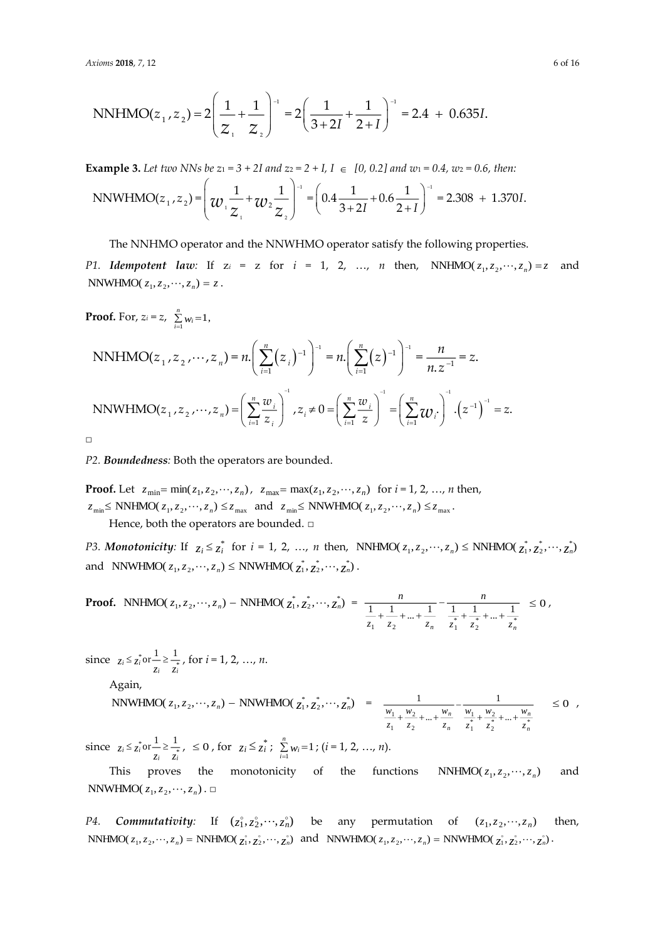NNHMO(
$$
z_1
$$
,  $z_2$ ) =  $2\left(\frac{1}{z_1} + \frac{1}{z_2}\right)^{-1}$  =  $2\left(\frac{1}{3+2I} + \frac{1}{2+I}\right)^{-1}$  = 2.4 + 0.635*I*.

**Example 3.** Let two NNs be  $z_1 = 3 + 2I$  and  $z_2 = 2 + I$ ,  $I \in [0, 0.2]$  and  $w_1 = 0.4$ ,  $w_2 = 0.6$ , then:

$$
\text{NNWHMO}(z_1, z_2) = \left(\mathcal{W}_1 \frac{1}{Z_1} + \mathcal{W}_2 \frac{1}{Z_2}\right)^{-1} = \left(0.4 \frac{1}{3+2I} + 0.6 \frac{1}{2+I}\right)^{-1} = 2.308 + 1.370I.
$$

The NNHMO operator and the NNWHMO operator satisfy the following properties.

*P1. Idempotent law:* If  $z_i = z$  for  $i = 1, 2, ..., n$  then,  $NNHMO(z_1, z_2, \dots, z_n) = z$  and *NNWHMO* $(z_1, z_2, \dots, z_n) = z$ .

**Proof.** For,  $z_i = z$ ,  $\sum_{i=1}^{n} w_i = 1$ , *n*  $\sum_{i=1}$   $W_i$ 

$$
\text{NNHMO}(z_1, z_2, \cdots, z_n) = n \cdot \left( \sum_{i=1}^n (z_i)^{-1} \right)^{-1} = n \cdot \left( \sum_{i=1}^n (z)^{-1} \right)^{-1} = \frac{n}{n \cdot z^{-1}} = z.
$$
\n
$$
\text{NNWHMO}(z_1, z_2, \cdots, z_n) = \left( \sum_{i=1}^n \frac{w_i}{z_i} \right)^{-1}, z_i \neq 0 = \left( \sum_{i=1}^n \frac{w_i}{z} \right)^{-1} = \left( \sum_{i=1}^n w_i \right)^{-1} \cdot \left( z^{-1} \right)^{-1} = z.
$$

□

*P2. Boundedness:* Both the operators are bounded.

**Proof.** Let  $z_{\min} = \min(z_1, z_2, \dots, z_n)$ ,  $z_{\max} = \max(z_1, z_2, \dots, z_n)$  for  $i = 1, 2, \dots, n$  then,  $z_{\min} \leq \text{NNHMO}(z_1, z_2, \cdots, z_n) \leq z_{\max}$  and  $z_{\min} \leq \text{NNWHMO}(z_1, z_2, \cdots, z_n) \leq z_{\max}$ . Hence, both the operators are bounded. □

*P3. Monotonicity:* If  $z_i \leq z_i^*$  for  $i = 1, 2, ..., n$  then, NNHMO( $z_1, z_2, ..., z_n$ )  $\leq$  NNHMO( $z_1^*, z_2^*, ..., z_n^*$ ) and NNWHMO( $z_1, z_2, \dots, z_n$ )  $\leq$  NNWHMO( $z_1^*, z_2^*, \dots, z_n^*$ ).

**Proof.** NNHMO(
$$
z_1, z_2, ..., z_n
$$
) – NNHMO( $\overline{z_1}, \overline{z_2}, ..., \overline{z_n}$ ) =  $\frac{n}{\frac{1}{z_1} + \frac{1}{z_2} + ... + \frac{1}{z_n}} - \frac{n}{\frac{1}{z_1} + \frac{1}{z_2} + ... + \frac{1}{z_n} \le 0$ ,

 $\frac{\sin 1}{z_i} \leq \frac{z_i}{z_i} \text{ or } \frac{z_i}{z_i} \geq \frac{1}{z_i}$  $\leq \frac{1}{z_i}$  or  $\frac{1}{z} \geq \frac{1}{z_i}$ , for  $i = 1, 2, ..., n$ .

Again,

$$
\text{NNWHMO}(z_1, z_2, \cdots, z_n) - \text{NNWHMO}(\frac{z_1}{z_1}, \frac{z_2}{z_2}, \cdots, \frac{z_n}{z_n}) = \frac{1}{\frac{w_1}{z_1} + \frac{w_2}{z_2} + \dots + \frac{w_n}{z_n}} - \frac{1}{\frac{w_1}{z_1} + \frac{w_2}{z_2} + \dots + \frac{w_n}{z_n}} \le 0 ,
$$

 $\frac{\sin 1}{z_i} \leq \frac{z_i}{z_i} \text{ or } \frac{z_i}{z_i} \geq \frac{1}{z_i}$  $\leq \sum_{i=1}^{n} \text{or} \frac{1}{z_i} \geq \frac{1}{z_i}, \leq 0$ , for  $z_i \leq \sum_{i=1}^{n} y_i = 1$ *i wi* ; (*i* = 1, 2, …, *n*).

This proves the monotonicity of the functions  $NNHMO(z_1, z_2, \dots, z_n)$ and  $\text{NNWHMO}(z_1, z_2, \cdots, z_n)$  .  $\Box$ 

*P4. Commutativity:* If  $(z_1, z_2, \dots, z_n)$  be any permutation of  $(z_1, z_2, \dots, z_n)$ then, NNHMO( $z_1, z_2, \dots, z_n$ ) = NNHMO( $z_1, z_2, \dots, z_n$ ) and NNWHMO( $z_1, z_2, \dots, z_n$ ) = NNWHMO( $z_1, z_2, \dots, z_n$ ).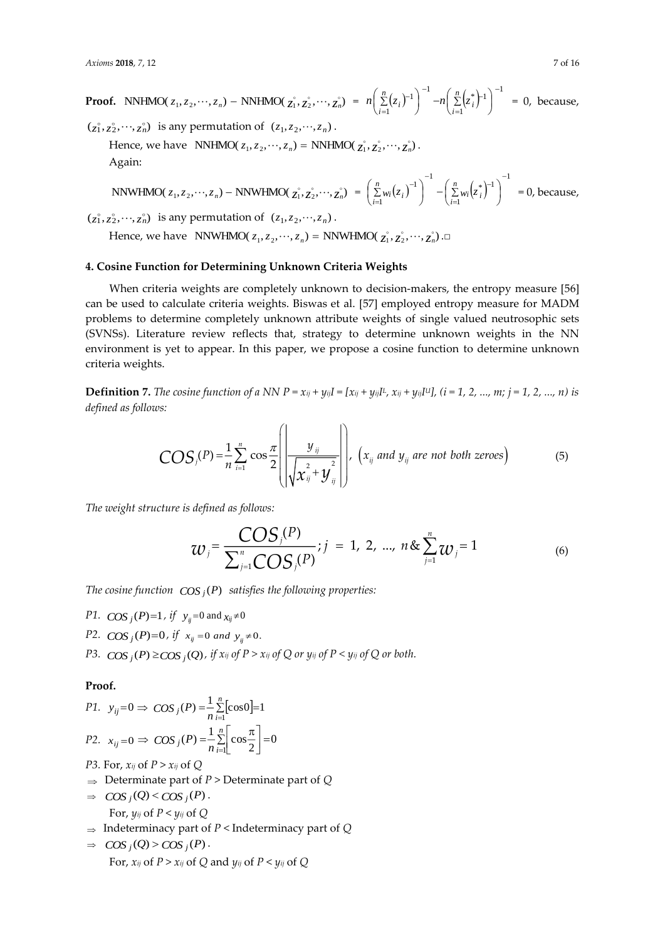**Proof.** NNHMO( $z_1, z_2, \dots, z_n$ ) – NNHMO( $z_1^{\circ}, z_2^{\circ}, \dots, z_n^{\circ}$ ) =  $n\left(\sum_{i=1}^{n} (z_i)^{-1}\right)^{-1} - n\left(\sum_{i=1}^{n} (z_i)^{-1}\right)^{-1}$ 1  $\left(\frac{n}{2}\right)^*$ 1  $\left( \begin{array}{cc} n \end{array} \right)^{-1}$   $\left( \begin{array}{cc} n & k-1 \\ n & k \end{array} \right)^{-1}$ ┍ =  $\begin{bmatrix} 1 \\ 1 \end{bmatrix}$   $-n\left(\sum_{i=1}^{n} (z_i)^{-1}\right)$  $\left(\sum_{i=1}^n (z_i^*)^{-1}\right)$  $\Biggr)^{-1} - n \Biggl($  $\left(\sum_{i=1}^n (z_i)^{-1}\right)$  $\left(\sum_{i=1}^{n} (z_i)^{-1}\right)^{-1} - n \left(\sum_{i=1}^{n} (z_i)^{-1}\right)$  $\sum_{i=1}^{\infty}$ <sup>(\* *i*</sup>)  $n\left(\sum_{i=1}^{n} (z_i)^{-1}\right)$   $-n\left(\sum_{i=1}^{n} (z_i)^{-1}\right)$  = 0, because,

 $(z_1^{\circ}, z_2^{\circ}, \dots, z_n^{\circ})$  is any permutation of  $(z_1, z_2, \dots, z_n)$ .

Hence, we have  $NNHMO(z_1, z_2, \dots, z_n) = NNHMO(\chi_1^2, \chi_2^2, \dots, \chi_n^2)$ . Again:

NNWHMO
$$
(z_1, z_2, \dots, z_n)
$$
 - NNWHMO $(z_1^{\circ}, z_2^{\circ}, \dots, z_n^{\circ}) = \left(\sum_{i=1}^n w_i (z_i)^{-1}\right)^{-1} - \left(\sum_{i=1}^n w_i (z_i^{\circ})^{-1}\right)^{-1} = 0$ , because,

 $(z_1, z_2, \dots, z_n)$  is any permutation of  $(z_1, z_2, \dots, z_n)$ .

Hence, we have  $\quad$ NNWHMO( $z_1, z_2, \cdots, z_n) =$  NNWHMO( $z_1^{\circ}, z_2^{\circ}, \cdots, z_n^{\circ}$ ). $\Box$ 

## **4. Cosine Function for Determining Unknown Criteria Weights**

When criteria weights are completely unknown to decision-makers, the entropy measure [56] can be used to calculate criteria weights. Biswas et al. [57] employed entropy measure for MADM problems to determine completely unknown attribute weights of single valued neutrosophic sets (SVNSs). Literature review reflects that, strategy to determine unknown weights in the NN environment is yet to appear. In this paper, we propose a cosine function to determine unknown criteria weights.

**Definition** 7. The cosine function of a NN  $P = x_{ij} + y_{ij}I = [x_{ij} + y_{ij}I^{\mu}, x_{ij} + y_{ij}I^{\mu}]$ ,  $(i = 1, 2, ..., m; j = 1, 2, ..., n)$  is *defined as follows:* 

$$
COS_j(P) = \frac{1}{n} \sum_{i=1}^n \cos \frac{\pi}{2} \left( \frac{y_{ij}}{\sqrt{x_{ij}^2 + y_{ij}^2}} \right), \left( x_{ij} \text{ and } y_{ij} \text{ are not both zeroes} \right) \tag{5}
$$

*The weight structure is defined as follows:*

$$
w_j = \frac{\text{COS}_j(P)}{\sum_{j=1}^n \text{COS}_j(P)}; j = 1, 2, ..., n \& \sum_{j=1}^n w_j = 1
$$
 (6)

The cosine function  $\left| \cos_j(P) \right|$  satisfies the following properties:

- *P1.*  $\cos_j(P) = 1$ , if  $y_{ij} = 0$  and  $x_{ij} \neq 0$
- *P2.*  $\cos_j(P) = 0$ , if  $x_{ij} = 0$  and  $y_{ij} \neq 0$ .
- *P3.*  $\cos_j(P) \geq \cos_j(Q)$  , if  $x_{ij}$  of  $P > x_{ij}$  of  $Q$  or  $y_{ij}$  of  $P < y_{ij}$  of  $Q$  or both.

#### **Proof.**

P1. 
$$
y_{ij} = 0 \implies COS_j(P) = \frac{1}{n} \sum_{i=1}^{n} [cos 0] = 1
$$
  
P2.  $x_{ij} = 0 \implies COS_j(P) = \frac{1}{n} \sum_{i=1}^{n} \left[ cos \frac{\pi}{2} \right] = 0$ 

- *P3.* For, *xij* of *P* > *xij* of *Q*
- Determinate part of *P* > Determinate part of *Q*
- $\Rightarrow$   $\cos_j(Q) < \cos_j(P)$ . For,  $y_{ij}$  of  $P \leq y_{ij}$  of  $Q$
- $\Rightarrow$  Indeterminacy part of *P* < Indeterminacy part of *Q*

$$
\Rightarrow \quad \text{COS}_j(Q) > \text{COS}_j(P) \, .
$$
\n
$$
\text{For, } x_{ij} \text{ of } P > x_{ij} \text{ of } Q \text{ and } y_{ij} \text{ of } P < y_{ij} \text{ of } Q
$$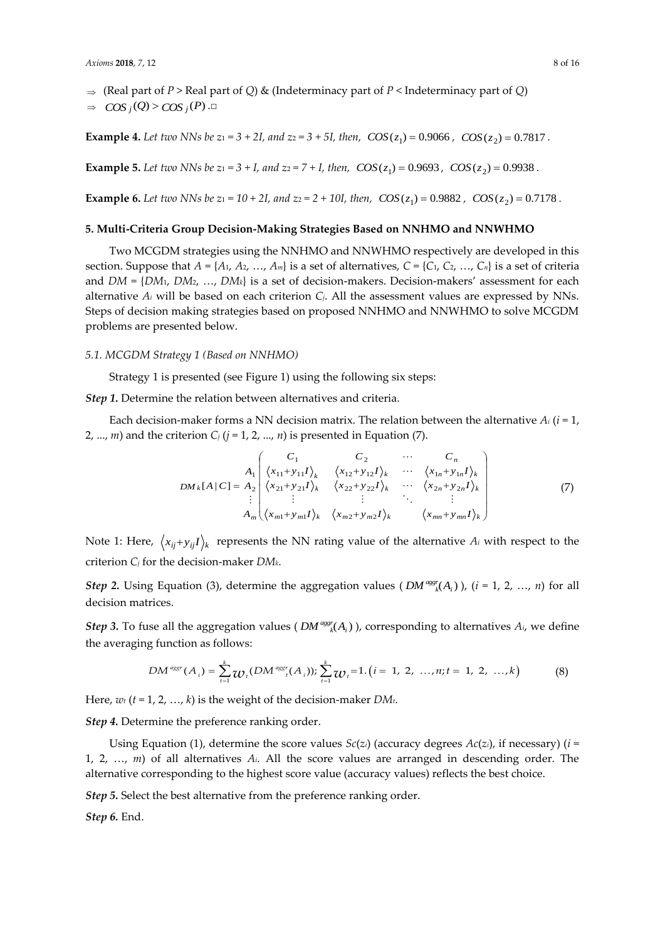$$
\Rightarrow \cos_j(Q) > \cos_j(P) . \Box
$$

**Example 4.** Let two NNs be  $z_1 = 3 + 2I$ , and  $z_2 = 3 + 5I$ , then,  $COS(z_1) = 0.9066$ ,  $COS(z_2) = 0.7817$ .

**Example 5.** Let two NNs be  $z_1 = 3 + I$ , and  $z_2 = 7 + I$ , then,  $COS(z_1) = 0.9693$ ,  $COS(z_2) = 0.9938$ .

**Example 6.** Let two NNs be  $z_1 = 10 + 2I$ , and  $z_2 = 2 + 10I$ , then,  $\cos(z_1) = 0.9882$ ,  $\cos(z_2) = 0.7178$ .

## **5. Multi-Criteria Group Decision-Making Strategies Based on NNHMO and NNWHMO**

Two MCGDM strategies using the NNHMO and NNWHMO respectively are developed in this section. Suppose that  $A = \{A_1, A_2, ..., A_m\}$  is a set of alternatives,  $C = \{C_1, C_2, ..., C_n\}$  is a set of criteria and *DM* = {*DM*1, *DM*2, …, *DMk*} is a set of decision-makers. Decision-makers' assessment for each alternative *A<sup>i</sup>* will be based on each criterion *Cj*. All the assessment values are expressed by NNs. Steps of decision making strategies based on proposed NNHMO and NNWHMO to solve MCGDM problems are presented below.

#### *5.1. MCGDM Strategy 1 (Based on NNHMO)*

Strategy 1 is presented (see Figure 1) using the following six steps:

*Step 1.* Determine the relation between alternatives and criteria.

Each decision-maker forms a NN decision matrix. The relation between the alternative  $A_i$  ( $i = 1$ , 2, ..., *m*) and the criterion  $C_i$  ( $j = 1, 2, ..., n$ ) is presented in Equation (7).

$$
DM_k[A|C] = A_2 \begin{pmatrix} C_1 & C_2 & \cdots & C_n \\ \langle x_{11} + y_{11}I \rangle_k & \langle x_{12} + y_{12}I \rangle_k & \cdots & \langle x_{1n} + y_{1n}I \rangle_k \\ \langle x_{21} + y_{21}I \rangle_k & \langle x_{22} + y_{22}I \rangle_k & \cdots & \langle x_{2n} + y_{2n}I \rangle_k \\ \vdots & \vdots & \ddots & \vdots \\ A_m \langle x_{m1} + y_{m1}I \rangle_k & \langle x_{m2} + y_{m2}I \rangle_k & \langle x_{mn} + y_{mn}I \rangle_k \end{pmatrix}
$$
(7)

Note 1: Here,  $\langle x_{ij} + y_{ij}I \rangle_k$  represents the NN rating value of the alternative  $A_i$  with respect to the criterion *C<sup>j</sup>* for the decision-maker *DMk*.

*Step* 2. Using Equation (3), determine the aggregation values ( $DM^{agg}(A_i)$ ), (*i* = 1, 2, ..., *n*) for all decision matrices.

*Step* 3. To fuse all the aggregation values (  $DM^{ags}(A_i)$  ), corresponding to alternatives  $A_i$ , we define the averaging function as follows:

$$
DM^{*ggr}(A_i) = \sum_{t=1}^k w_t (DM^{*ggr}(A_i)) \sum_{t=1}^k w_t = 1 \ (i = 1, 2, ..., n; t = 1, 2, ..., k)
$$
 (8)

Here, *w<sup>t</sup>* (*t* = 1, 2, …, *k*) is the weight of the decision-maker *DMt*.

*Step 4.* Determine the preference ranking order.

Using Equation (1), determine the score values  $Sc(z_i)$  (accuracy degrees  $Ac(z_i)$ , if necessary) ( $i =$ 1, 2, …, *m*) of all alternatives *Ai*. All the score values are arranged in descending order. The alternative corresponding to the highest score value (accuracy values) reflects the best choice.

*Step 5.* Select the best alternative from the preference ranking order.

*Step 6.* End.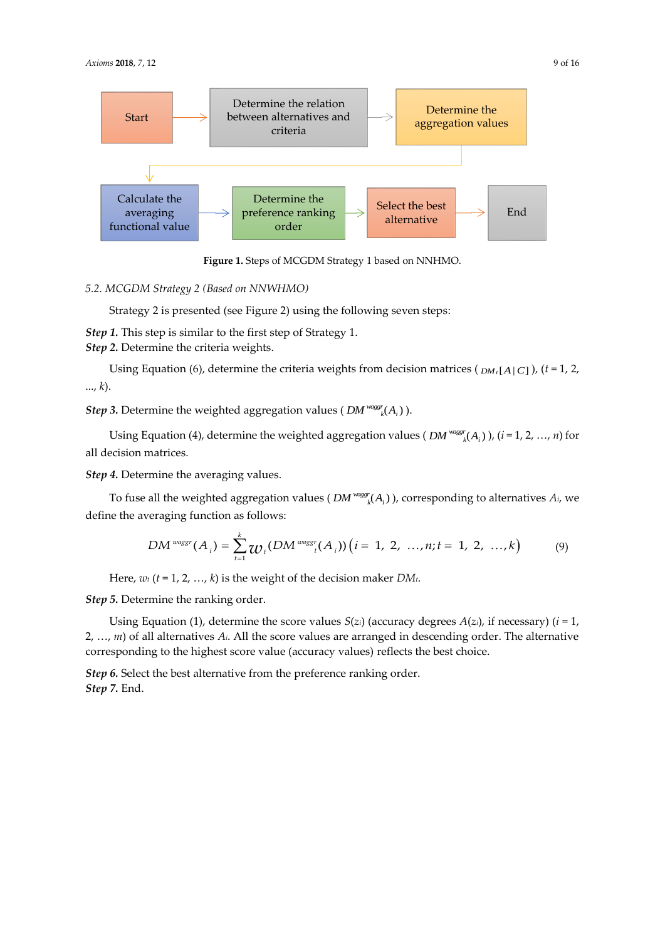

**Figure 1.** Steps of MCGDM Strategy 1 based on NNHMO.

*5.2. MCGDM Strategy 2 (Based on NNWHMO)*

Strategy 2 is presented (see Figure 2) using the following seven steps:

*Step 1.* This step is similar to the first step of Strategy 1.

*Step 2.* Determine the criteria weights.

Using Equation (6), determine the criteria weights from decision matrices ( *DMt*[*A*|*C*] ), (*t* = 1, 2, ..., *k*).

*Step* 3. Determine the weighted aggregation values (  $DM^{wagg}(A_i)$  ).

Using Equation (4), determine the weighted aggregation values (  $DM^{wagger}(A_i)$  ),  $(i = 1, 2, ..., n)$  for all decision matrices.

*Step 4.* Determine the averaging values.

To fuse all the weighted aggregation values (  $DM^{wagsr}(A_i)$  ), corresponding to alternatives  $A_i$ , we define the averaging function as follows:

$$
DM^{wagsr}(A_i) = \sum_{t=1}^{k} w_t (DM^{wagsr}(A_i)) (i = 1, 2, ..., n; t = 1, 2, ..., k)
$$
 (9)

Here, *w<sup>t</sup>* (*t* = 1, 2, …, *k*) is the weight of the decision maker *DMt*.

*Step 5.* Determine the ranking order.

Using Equation (1), determine the score values  $S(z_i)$  (accuracy degrees  $A(z_i)$ , if necessary) ( $i = 1$ , 2, …, *m*) of all alternatives *Ai*. All the score values are arranged in descending order. The alternative corresponding to the highest score value (accuracy values) reflects the best choice.

*Step 6.* Select the best alternative from the preference ranking order. *Step 7.* End.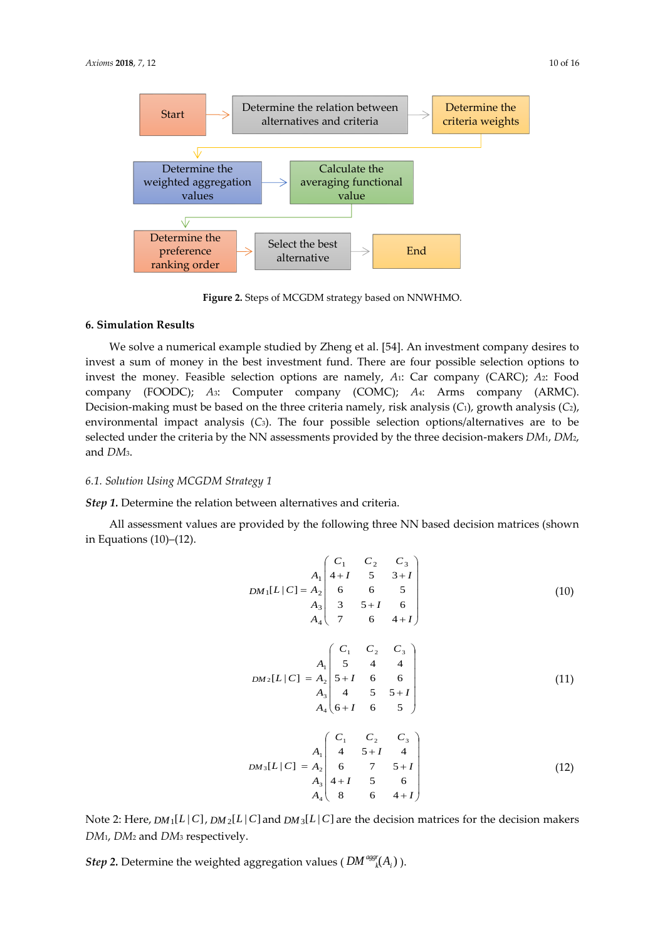

**Figure 2.** Steps of MCGDM strategy based on NNWHMO.

#### **6. Simulation Results**

We solve a numerical example studied by Zheng et al. [54]. An investment company desires to invest a sum of money in the best investment fund. There are four possible selection options to invest the money. Feasible selection options are namely, *A*1: Car company (CARC); *A*2: Food company (FOODC); *A*3: Computer company (COMC); *A*4: Arms company (ARMC). Decision-making must be based on the three criteria namely, risk analysis (*C*1), growth analysis (*C*2), environmental impact analysis (*C*3). The four possible selection options/alternatives are to be selected under the criteria by the NN assessments provided by the three decision-makers *DM*1, *DM*2, and *DM*3.

## *6.1. Solution Using MCGDM Strategy 1*

*Step 1.* Determine the relation between alternatives and criteria.

All assessment values are provided by the following three NN based decision matrices (shown in Equations (10)–(12).

$$
DM_{1}[L|C] = A_{2} \begin{pmatrix} C_{1} & C_{2} & C_{3} \\ 4+I & 5 & 3+I \\ 6 & 6 & 5 \\ A_{3} & 3 & 5+I & 6 \\ A_{4} & 7 & 6 & 4+I \end{pmatrix}
$$
(10)  

$$
DM_{2}[L|C] = A_{2} \begin{pmatrix} C_{1} & C_{2} & C_{3} \\ 5 & 4 & 4 \\ 7+I & 6 & 6 \\ A_{4} & 4 & 5 & 5+I \\ A_{4} & 6+I & 6 & 5 \end{pmatrix}
$$
(11)  

$$
DM_{3}[L|C] = A_{2} \begin{pmatrix} C_{1} & C_{2} & C_{3} \\ 4 & 5+I & 4 \\ 4 & 5+I & 4 \\ 4 & 5+I & 4 \\ A_{3} & 4+I & 5 & 6 \\ A_{4} & 8 & 6 & 4+I \end{pmatrix}
$$
(12)

Note 2: Here,  $DM_1[L|C]$ ,  $DM_2[L|C]$  and  $DM_3[L|C]$  are the decision matrices for the decision makers *DM*1, *DM*<sup>2</sup> and *DM*<sup>3</sup> respectively.

 $Step~2.$  Determine the weighted aggregation values (  $DM^{agg}(A_i)$  ).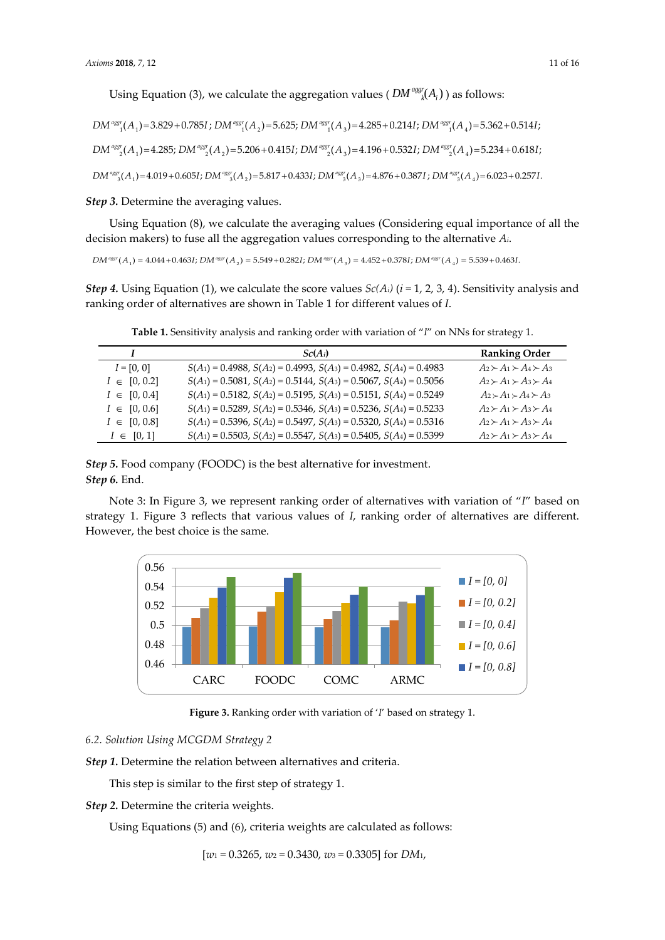Using Equation (3), we calculate the aggregation values (  $DM^{agg}(A_i)$  ) as follows:

$$
DM^{agg*}(A_1) = 3.829 + 0.785I
$$
;  $DM^{agg*}(A_2) = 5.625$ ;  $DM^{agg*}(A_3) = 4.285 + 0.214I$ ;  $DM^{agg*}(A_4) = 5.362 + 0.514I$ ;

 $DM^{agg}(A_1) = 4.285$ ;  $DM^{agg}(A_2) = 5.206 + 0.4151$ ;  $DM^{agg}(A_3) = 4.196 + 0.5321$ ;  $DM^{agg}(A_4) = 5.234 + 0.6181$ ;

 $DM^{agg}(A_1) = 4.019 + 0.605I$ ;  $DM^{agg}(A_2) = 5.817 + 0.433I$ ;  $DM^{agg}(A_3) = 4.876 + 0.387I$ ;  $DM^{agg}(A_4) = 6.023 + 0.257I$ .

*Step 3.* Determine the averaging values.

Using Equation (8), we calculate the averaging values (Considering equal importance of all the decision makers) to fuse all the aggregation values corresponding to the alternative *Ai*.

 $DM^{agg}(A_1) = 4.044 + 0.463I$ ;  $DM^{agg}(A_2) = 5.549 + 0.282I$ ;  $DM^{agg}(A_2) = 4.452 + 0.378I$ ;  $DM^{agg}(A_4) = 5.539 + 0.463I$ .

*Step 4.* Using Equation (1), we calculate the score values  $Sc(A_i)$  ( $i = 1, 2, 3, 4$ ). Sensitivity analysis and ranking order of alternatives are shown in Table 1 for different values of *I*.

|                  | $Sc(A_i)$                                                                     | <b>Ranking Order</b>                |
|------------------|-------------------------------------------------------------------------------|-------------------------------------|
| $I = [0, 0]$     | $S(A_1) = 0.4988$ , $S(A_2) = 0.4993$ , $S(A_3) = 0.4982$ , $S(A_4) = 0.4983$ | $A_2 \succ A_1 \succ A_4 \succ A_3$ |
| $I \in [0, 0.2]$ | $S(A_1) = 0.5081$ , $S(A_2) = 0.5144$ , $S(A_3) = 0.5067$ , $S(A_4) = 0.5056$ | $A_2 \succ A_1 \succ A_3 \succ A_4$ |
| $I \in [0, 0.4]$ | $S(A_1) = 0.5182$ , $S(A_2) = 0.5195$ , $S(A_3) = 0.5151$ , $S(A_4) = 0.5249$ | $A_2 \succ A_1 \succ A_4 \succ A_3$ |
| $I \in [0, 0.6]$ | $S(A_1) = 0.5289$ , $S(A_2) = 0.5346$ , $S(A_3) = 0.5236$ , $S(A_4) = 0.5233$ | $A_2 \succ A_1 \succ A_3 \succ A_4$ |
| $I \in [0, 0.8]$ | $S(A_1) = 0.5396$ , $S(A_2) = 0.5497$ , $S(A_3) = 0.5320$ , $S(A_4) = 0.5316$ | $A_2 \succ A_1 \succ A_3 \succ A_4$ |
| $I \in [0, 1]$   | $S(A_1) = 0.5503$ , $S(A_2) = 0.5547$ , $S(A_3) = 0.5405$ , $S(A_4) = 0.5399$ | $A_2 \succ A_1 \succ A_3 \succ A_4$ |

**Table 1.** Sensitivity analysis and ranking order with variation of "*I*" on NNs for strategy 1.

*Step 5.* Food company (FOODC) is the best alternative for investment. *Step 6.* End.

Note 3: In Figure 3, we represent ranking order of alternatives with variation of "*I*" based on strategy 1. Figure 3 reflects that various values of *I*, ranking order of alternatives are different. However, the best choice is the same.



**Figure 3.** Ranking order with variation of '*I*' based on strategy 1.

## *6.2. Solution Using MCGDM Strategy 2*

*Step 1.* Determine the relation between alternatives and criteria.

This step is similar to the first step of strategy 1.

*Step 2.* Determine the criteria weights.

Using Equations (5) and (6), criteria weights are calculated as follows:

[*w*<sup>1</sup> = 0.3265, *w*<sup>2</sup> = 0.3430, *w*<sup>3</sup> = 0.3305] for *DM*1,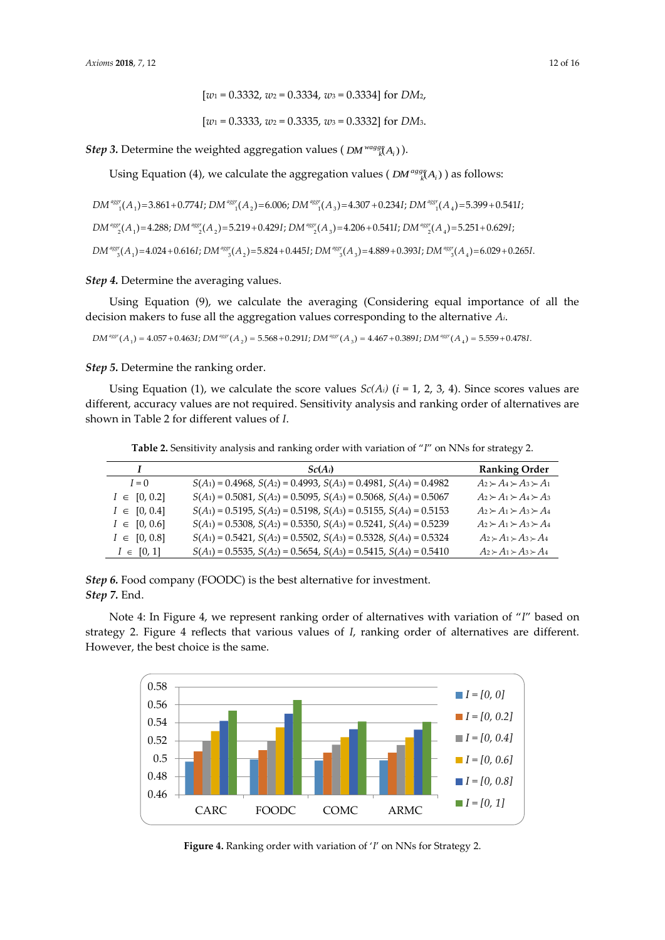$$
[w_1\,{=}\,0.3333,\,w_2\,{=}\,0.3335,\,w_3\,{=}\,0.3332]\; \text{for}\; DM_3.
$$

Step 3. Determine the weighted aggregation values ( $DM^{wagg}(A_i)$ ).

Using Equation (4), we calculate the aggregation values ( $DM^{agg}(A_i)$ ) as follows:

$$
DM^{eqg} (A_1) = 3.861 + 0.774I; DM^{eqg} (A_2) = 6.006; DM^{eqg} (A_3) = 4.307 + 0.234I; DM^{eqg} (A_4) = 5.399 + 0.541I;
$$
  
\n
$$
DM^{eqg} (A_1) = 4.288; DM^{eqg} (A_2) = 5.219 + 0.429I; DM^{eqg} (A_3) = 4.206 + 0.541I; DM^{eqg} (A_4) = 5.251 + 0.629I;
$$
  
\n
$$
DM^{eqg} (A_1) = 4.024 + 0.616I; DM^{eqg} (A_2) = 5.824 + 0.445I; DM^{eqg} (A_3) = 4.889 + 0.393I; DM^{eqg} (A_4) = 6.029 + 0.265I.
$$

*Step 4.* Determine the averaging values.

Using Equation (9), we calculate the averaging (Considering equal importance of all the decision makers to fuse all the aggregation values corresponding to the alternative *Ai*.

$$
DM^{*ggr}(A_1) = 4.057 + 0.463I; DM^{*ggr}(A_2) = 5.568 + 0.291I; DM^{*ggr}(A_3) = 4.467 + 0.389I; DM^{*ggr}(A_4) = 5.559 + 0.478I.
$$

*Step 5.* Determine the ranking order.

Using Equation (1), we calculate the score values  $Sc(A_i)$  ( $i = 1, 2, 3, 4$ ). Since scores values are different, accuracy values are not required. Sensitivity analysis and ranking order of alternatives are shown in Table 2 for different values of *I*.

**Table 2.** Sensitivity analysis and ranking order with variation of "*I*" on NNs for strategy 2.

|                  | $Sc(A_i)$                                                                     | <b>Ranking Order</b>                |
|------------------|-------------------------------------------------------------------------------|-------------------------------------|
| $I=0$            | $S(A_1) = 0.4968$ , $S(A_2) = 0.4993$ , $S(A_3) = 0.4981$ , $S(A_4) = 0.4982$ | $A_2 \succ A_4 \succ A_3 \succ A_1$ |
| $I \in [0, 0.2]$ | $S(A_1) = 0.5081$ , $S(A_2) = 0.5095$ , $S(A_3) = 0.5068$ , $S(A_4) = 0.5067$ | $A_2 \succ A_1 \succ A_4 \succ A_3$ |
| $I \in [0, 0.4]$ | $S(A_1) = 0.5195$ , $S(A_2) = 0.5198$ , $S(A_3) = 0.5155$ , $S(A_4) = 0.5153$ | $A_2 \succ A_1 \succ A_3 \succ A_4$ |
| $I \in [0, 0.6]$ | $S(A_1) = 0.5308$ , $S(A_2) = 0.5350$ , $S(A_3) = 0.5241$ , $S(A_4) = 0.5239$ | $A_2 \succ A_1 \succ A_3 \succ A_4$ |
| $I \in [0, 0.8]$ | $S(A_1) = 0.5421$ , $S(A_2) = 0.5502$ , $S(A_3) = 0.5328$ , $S(A_4) = 0.5324$ | $A_2 \succ A_1 \succ A_3 \succ A_4$ |
| $I \in [0, 1]$   | $S(A_1) = 0.5535$ , $S(A_2) = 0.5654$ , $S(A_3) = 0.5415$ , $S(A_4) = 0.5410$ | $A_2 \succ A_1 \succ A_3 \succ A_4$ |

*Step 6.* Food company (FOODC) is the best alternative for investment. *Step 7.* End.

Note 4: In Figure 4, we represent ranking order of alternatives with variation of "*I*" based on strategy 2. Figure 4 reflects that various values of *I*, ranking order of alternatives are different. However, the best choice is the same.



**Figure 4.** Ranking order with variation of '*I*' on NNs for Strategy 2.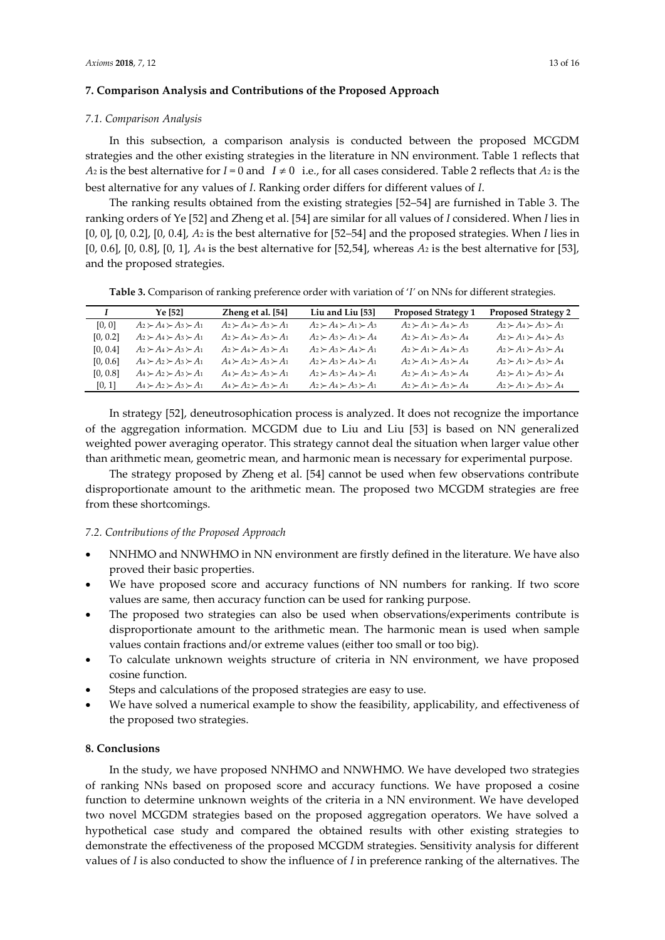#### **7. Comparison Analysis and Contributions of the Proposed Approach**

#### *7.1. Comparison Analysis*

In this subsection, a comparison analysis is conducted between the proposed MCGDM strategies and the other existing strategies in the literature in NN environment. Table 1 reflects that  $A_2$  is the best alternative for  $I = 0$  and  $I \neq 0$  i.e., for all cases considered. Table 2 reflects that  $A_2$  is the best alternative for any values of *I*. Ranking order differs for different values of *I*.

The ranking results obtained from the existing strategies [52–54] are furnished in Table 3. The ranking orders of Ye [52] and Zheng et al. [54] are similar for all values of *I* considered. When *I* lies in [0, 0], [0, 0.2], [0, 0.4], *A*<sup>2</sup> is the best alternative for [52–54] and the proposed strategies. When *I* lies in [0, 0.6], [0, 0.8], [0, 1], *A*<sup>4</sup> is the best alternative for [52,54], whereas *A*<sup>2</sup> is the best alternative for [53], and the proposed strategies.

**Table 3.** Comparison of ranking preference order with variation of '*I'* on NNs for different strategies.

|          | Ye [52]                                   | Zheng et al. [54]                   | Liu and Liu [53]                    | <b>Proposed Strategy 1</b>          | <b>Proposed Strategy 2</b>          |
|----------|-------------------------------------------|-------------------------------------|-------------------------------------|-------------------------------------|-------------------------------------|
| [0, 0]   | $A_2 \succ A_4 \succ A_3 \succ A_1$       | $A_2 \succ A_4 \succ A_3 \succ A_1$ | $A_2 \succ A_4 \succ A_1 \succ A_3$ | $A_2 \succ A_1 \succ A_4 \succ A_3$ | $A_2 \succ A_4 \succ A_3 \succ A_1$ |
| [0, 0.2] | $A_2 \succ A_4 \succ A_3 \succ A_1$       | $A_2 \succ A_4 \succ A_3 \succ A_1$ | $A_2 \succ A_3 \succ A_1 \succ A_4$ | $A_2 \succ A_1 \succ A_3 \succ A_4$ | $A_2 \succ A_1 \succ A_4 \succ A_3$ |
| [0, 0.4] | $A_2 \succ A_4 \succ A_3 \succ A_1$       | $A_2 \succ A_4 \succ A_3 \succ A_1$ | $A_2 \succ A_3 \succ A_4 \succ A_1$ | $A_2 \succ A_1 \succ A_4 \succ A_3$ | $A_2 \succ A_1 \succ A_3 \succ A_4$ |
| [0, 0.6] | $A_4 \succeq A_2 \succeq A_3 \succeq A_1$ | $A_4 \succ A_2 \succ A_3 \succ A_1$ | $A_2 \succ A_3 \succ A_4 \succ A_1$ | $A_2 \succ A_1 \succ A_3 \succ A_4$ | $A_2 \succ A_1 \succ A_3 \succ A_4$ |
| [0, 0.8] | $A_4 \succ A_2 \succ A_3 \succ A_1$       | $A_4 \succ A_2 \succ A_3 \succ A_1$ | $A_2 \succ A_3 \succ A_4 \succ A_1$ | $A_2 \succ A_1 \succ A_3 \succ A_4$ | $A_2 \succ A_1 \succ A_3 \succ A_4$ |
| [0, 1]   | $A_4 \succ A_2 \succ A_3 \succ A_1$       | $A_4 \succ A_2 \succ A_3 \succ A_1$ | $A_2 \succ A_4 \succ A_3 \succ A_1$ | $A_2 \succ A_1 \succ A_3 \succ A_4$ | $A_2 \succ A_1 \succ A_3 \succ A_4$ |

In strategy [52], deneutrosophication process is analyzed. It does not recognize the importance of the aggregation information. MCGDM due to Liu and Liu [53] is based on NN generalized weighted power averaging operator. This strategy cannot deal the situation when larger value other than arithmetic mean, geometric mean, and harmonic mean is necessary for experimental purpose.

The strategy proposed by Zheng et al. [54] cannot be used when few observations contribute disproportionate amount to the arithmetic mean. The proposed two MCGDM strategies are free from these shortcomings.

## *7.2. Contributions of the Proposed Approach*

- NNHMO and NNWHMO in NN environment are firstly defined in the literature. We have also proved their basic properties.
- We have proposed score and accuracy functions of NN numbers for ranking. If two score values are same, then accuracy function can be used for ranking purpose.
- The proposed two strategies can also be used when observations/experiments contribute is disproportionate amount to the arithmetic mean. The harmonic mean is used when sample values contain fractions and/or extreme values (either too small or too big).
- To calculate unknown weights structure of criteria in NN environment, we have proposed cosine function.
- Steps and calculations of the proposed strategies are easy to use.
- We have solved a numerical example to show the feasibility, applicability, and effectiveness of the proposed two strategies.

#### **8. Conclusions**

In the study, we have proposed NNHMO and NNWHMO. We have developed two strategies of ranking NNs based on proposed score and accuracy functions. We have proposed a cosine function to determine unknown weights of the criteria in a NN environment. We have developed two novel MCGDM strategies based on the proposed aggregation operators. We have solved a hypothetical case study and compared the obtained results with other existing strategies to demonstrate the effectiveness of the proposed MCGDM strategies. Sensitivity analysis for different values of *I* is also conducted to show the influence of *I* in preference ranking of the alternatives. The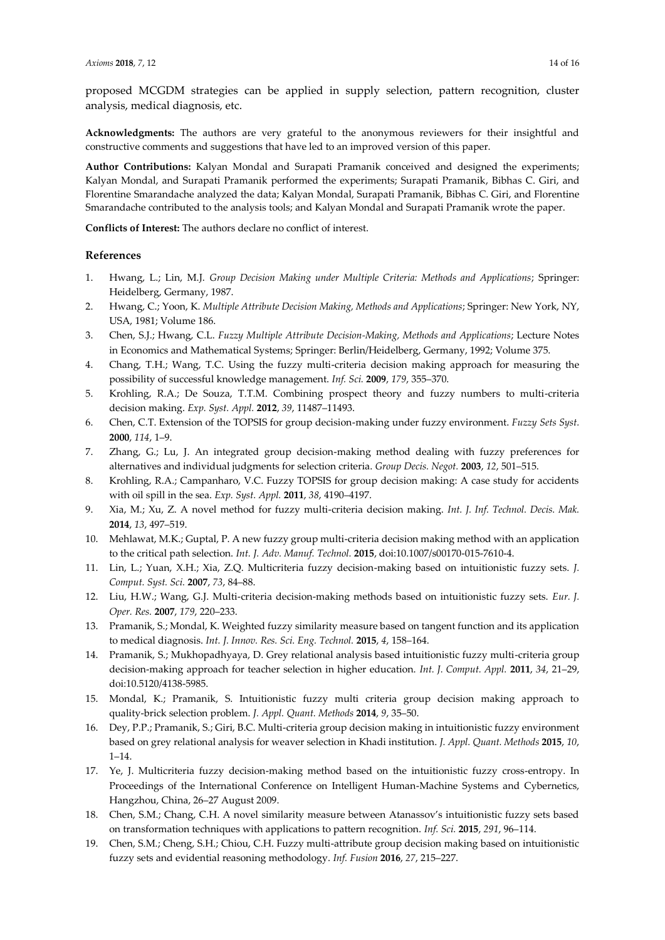proposed MCGDM strategies can be applied in supply selection, pattern recognition, cluster analysis, medical diagnosis, etc.

**Acknowledgments:** The authors are very grateful to the anonymous reviewers for their insightful and constructive comments and suggestions that have led to an improved version of this paper.

**Author Contributions:** Kalyan Mondal and Surapati Pramanik conceived and designed the experiments; Kalyan Mondal, and Surapati Pramanik performed the experiments; Surapati Pramanik, Bibhas C. Giri, and Florentine Smarandache analyzed the data; Kalyan Mondal, Surapati Pramanik, Bibhas C. Giri, and Florentine Smarandache contributed to the analysis tools; and Kalyan Mondal and Surapati Pramanik wrote the paper.

**Conflicts of Interest:** The authors declare no conflict of interest.

## **References**

- 1. Hwang, L.; Lin, M.J. *Group Decision Making under Multiple Criteria: Methods and Applications*; Springer: Heidelberg, Germany, 1987.
- 2. Hwang, C.; Yoon, K. *Multiple Attribute Decision Making, Methods and Applications*; Springer: New York, NY, USA, 1981; Volume 186.
- 3. Chen, S.J.; Hwang, C.L. *Fuzzy Multiple Attribute Decision-Making, Methods and Applications*; Lecture Notes in Economics and Mathematical Systems; Springer: Berlin/Heidelberg, Germany, 1992; Volume 375.
- 4. Chang, T.H.; Wang, T.C. Using the fuzzy multi-criteria decision making approach for measuring the possibility of successful knowledge management. *Inf. Sci.* **2009**, *179*, 355–370.
- 5. Krohling, R.A.; De Souza, T.T.M. Combining prospect theory and fuzzy numbers to multi-criteria decision making. *Exp. Syst. Appl.* **2012**, *39*, 11487–11493.
- 6. Chen, C.T. Extension of the TOPSIS for group decision-making under fuzzy environment. *Fuzzy Sets Syst.* **2000**, *114*, 1–9.
- 7. Zhang, G.; Lu, J. An integrated group decision-making method dealing with fuzzy preferences for alternatives and individual judgments for selection criteria. *Group Decis. Negot.* **2003**, *12*, 501–515.
- 8. Krohling, R.A.; Campanharo, V.C. Fuzzy TOPSIS for group decision making: A case study for accidents with oil spill in the sea. *Exp. Syst. Appl.* **2011**, *38*, 4190–4197.
- 9. Xia, M.; Xu, Z. A novel method for fuzzy multi-criteria decision making. *Int. J. Inf. Technol. Decis. Mak.* **2014**, *13*, 497–519.
- 10. Mehlawat, M.K.; Guptal, P. A new fuzzy group multi-criteria decision making method with an application to the critical path selection. *Int. J. Adv. Manuf. Technol.* **2015**, doi:10.1007/s00170-015-7610-4.
- 11. Lin, L.; Yuan, X.H.; Xia, Z.Q. Multicriteria fuzzy decision-making based on intuitionistic fuzzy sets. *J. Comput. Syst. Sci.* **2007**, *73*, 84–88.
- 12. Liu, H.W.; Wang, G.J. Multi-criteria decision-making methods based on intuitionistic fuzzy sets. *Eur. J. Oper. Res.* **2007**, *179*, 220–233.
- 13. Pramanik, S.; Mondal, K. Weighted fuzzy similarity measure based on tangent function and its application to medical diagnosis. *Int. J. Innov. Res. Sci. Eng. Technol.* **2015**, *4*, 158–164.
- 14. Pramanik, S.; Mukhopadhyaya, D. Grey relational analysis based intuitionistic fuzzy multi-criteria group decision-making approach for teacher selection in higher education. *Int. J. Comput. Appl.* **2011**, *34*, 21–29, doi:10.5120/4138-5985.
- 15. Mondal, K.; Pramanik, S. Intuitionistic fuzzy multi criteria group decision making approach to quality-brick selection problem. *J. Appl. Quant. Methods* **2014**, *9*, 35–50.
- 16. Dey, P.P.; Pramanik, S.; Giri, B.C. Multi-criteria group decision making in intuitionistic fuzzy environment based on grey relational analysis for weaver selection in Khadi institution. *J. Appl. Quant. Methods* **2015**, *10*, 1–14.
- 17. Ye, J. Multicriteria fuzzy decision-making method based on the intuitionistic fuzzy cross-entropy. In Proceedings of the International Conference on Intelligent Human-Machine Systems and Cybernetics, Hangzhou, China, 26–27 August 2009.
- 18. Chen, S.M.; Chang, C.H. A novel similarity measure between Atanassov's intuitionistic fuzzy sets based on transformation techniques with applications to pattern recognition. *Inf. Sci.* **2015**, *291*, 96–114.
- 19. Chen, S.M.; Cheng, S.H.; Chiou, C.H. Fuzzy multi-attribute group decision making based on intuitionistic fuzzy sets and evidential reasoning methodology. *Inf. Fusion* **2016**, *27*, 215–227.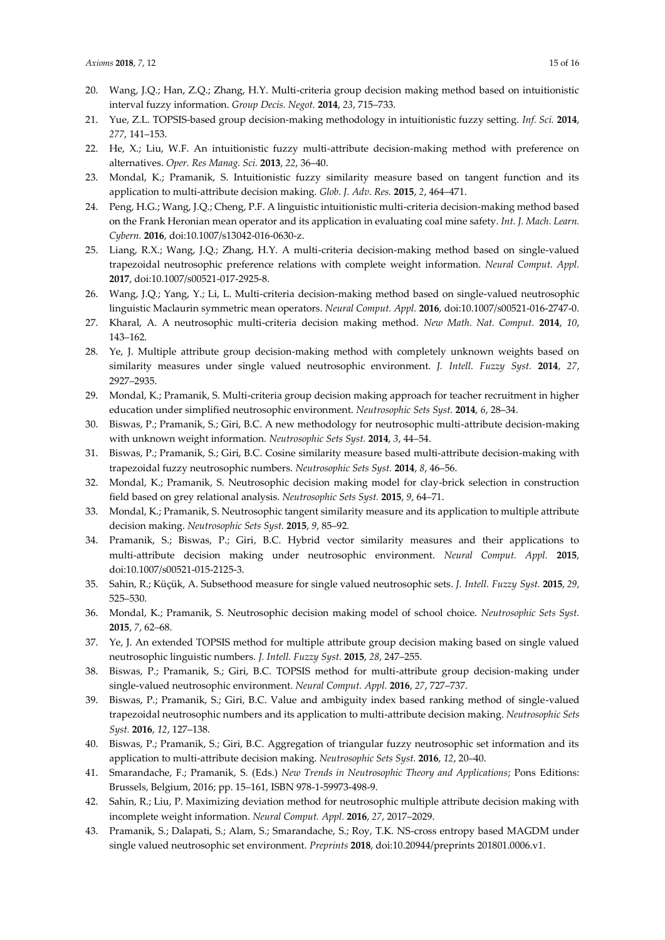- 20. Wang, J.Q.; Han, Z.Q.; Zhang, H.Y. Multi-criteria group decision making method based on intuitionistic interval fuzzy information. *Group Decis. Negot.* **2014**, *23*, 715–733.
- 21. Yue, Z.L. TOPSIS-based group decision-making methodology in intuitionistic fuzzy setting. *Inf. Sci.* **2014**, *277*, 141–153.
- 22. He, X.; Liu, W.F. An intuitionistic fuzzy multi-attribute decision-making method with preference on alternatives. *Oper. Res Manag. Sci.* **2013**, *22*, 36–40.
- 23. Mondal, K.; Pramanik, S. Intuitionistic fuzzy similarity measure based on tangent function and its application to multi-attribute decision making. *Glob. J. Adv. Res.* **2015**, *2*, 464–471.
- 24. Peng, H.G.; Wang, J.Q.; Cheng, P.F. A linguistic intuitionistic multi-criteria decision-making method based on the Frank Heronian mean operator and its application in evaluating coal mine safety. *Int. J. Mach. Learn. Cybern.* **2016**, doi:10.1007/s13042-016-0630-z.
- 25. Liang, R.X.; Wang, J.Q.; Zhang, H.Y. A multi-criteria decision-making method based on single-valued trapezoidal neutrosophic preference relations with complete weight information. *Neural Comput. Appl.* **2017**, doi:10.1007/s00521-017-2925-8.
- 26. Wang, J.Q.; Yang, Y.; Li, L. Multi-criteria decision-making method based on single-valued neutrosophic linguistic Maclaurin symmetric mean operators. *Neural Comput. Appl.* **2016**, doi:10.1007/s00521-016-2747-0.
- 27. Kharal, A. A neutrosophic multi-criteria decision making method. *New Math. Nat. Comput.* **2014**, *10*, 143–162.
- 28. Ye, J. Multiple attribute group decision-making method with completely unknown weights based on similarity measures under single valued neutrosophic environment. *J. Intell. Fuzzy Syst.* **2014**, *27*, 2927–2935.
- 29. Mondal, K.; Pramanik, S. Multi-criteria group decision making approach for teacher recruitment in higher education under simplified neutrosophic environment. *Neutrosophic Sets Syst.* **2014**, *6*, 28–34.
- 30. Biswas, P.; Pramanik, S.; Giri, B.C. A new methodology for neutrosophic multi-attribute decision-making with unknown weight information. *Neutrosophic Sets Syst.* **2014**, *3*, 44–54.
- 31. Biswas, P.; Pramanik, S.; Giri, B.C. Cosine similarity measure based multi-attribute decision-making with trapezoidal fuzzy neutrosophic numbers. *Neutrosophic Sets Syst.* **2014**, *8*, 46–56.
- 32. Mondal, K.; Pramanik, S. Neutrosophic decision making model for clay-brick selection in construction field based on grey relational analysis. *Neutrosophic Sets Syst.* **2015**, *9*, 64–71.
- 33. Mondal, K.; Pramanik, S. Neutrosophic tangent similarity measure and its application to multiple attribute decision making. *Neutrosophic Sets Syst.* **2015**, *9*, 85–92.
- 34. Pramanik, S.; Biswas, P.; Giri, B.C. Hybrid vector similarity measures and their applications to multi-attribute decision making under neutrosophic environment. *Neural Comput. Appl.* **2015**, doi:10.1007/s00521-015-2125-3.
- 35. Sahin, R.; Küçük, A. Subsethood [measure for single valued neutrosophic sets.](javascript:void(0)) *J. Intell. Fuzzy Syst.* **2015**, *29*, 525–530.
- 36. Mondal, K.; Pramanik, S. Neutrosophic decision making model of school choice. *Neutrosophic Sets Syst.* **2015**, *7*, 62*–*68.
- 37. Ye, J. An extended TOPSIS method for multiple attribute group decision making based on single valued neutrosophic linguistic numbers. *J. Intell. Fuzzy Syst.* **2015**, *28*, 247–255.
- 38. Biswas, P.; Pramanik, S.; Giri, B.C. TOPSIS method for multi-attribute group decision-making under single-valued neutrosophic environment. *Neural Comput. Appl.* **2016**, *27*, 727–737.
- 39. Biswas, P.; Pramanik, S.; Giri, B.C. Value and ambiguity index based ranking method of single-valued trapezoidal neutrosophic numbers and its application to multi-attribute decision making. *Neutrosophic Sets Syst.* **2016**, *12*, 127–138.
- 40. Biswas, P.; Pramanik, S.; Giri, B.C. Aggregation of triangular fuzzy neutrosophic set information and its application to multi-attribute decision making. *Neutrosophic Sets Syst.* **2016**, *12*, 20–40.
- 41. Smarandache, F.; Pramanik, S. (Eds.) *New Trends in Neutrosophic Theory and Applications*; Pons Editions: Brussels, Belgium, 2016; pp. 15–161, ISBN 978-1-59973-498-9.
- 42. Sahin, R.; Liu, P. Maximizing deviation method for neutrosophic multiple attribute decision making with incomplete weight information. *Neural Comput. Appl.* **2016**, *27*, 2017–2029.
- 43. Pramanik, S.; Dalapati, S.; Alam, S.; Smarandache, S.; Roy, T.K. NS-cross entropy based MAGDM under single valued neutrosophic set environment. *Preprints* **2018**, doi:10.20944/preprints 201801.0006.v1.